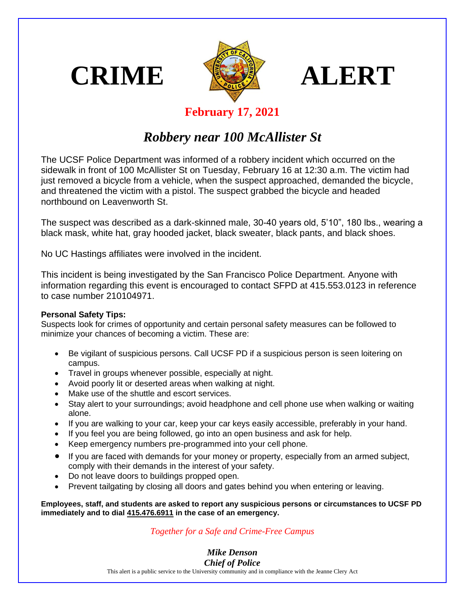





## **February 17, 2021**

## *Robbery near 100 McAllister St*

The UCSF Police Department was informed of a robbery incident which occurred on the sidewalk in front of 100 McAllister St on Tuesday, February 16 at 12:30 a.m. The victim had just removed a bicycle from a vehicle, when the suspect approached, demanded the bicycle, and threatened the victim with a pistol. The suspect grabbed the bicycle and headed northbound on Leavenworth St.

The suspect was described as a dark-skinned male, 30-40 years old, 5'10", 180 lbs., wearing a black mask, white hat, gray hooded jacket, black sweater, black pants, and black shoes.

No UC Hastings affiliates were involved in the incident.

This incident is being investigated by the San Francisco Police Department. Anyone with information regarding this event is encouraged to contact SFPD at 415.553.0123 in reference to case number 210104971.

## **Personal Safety Tips:**

Suspects look for crimes of opportunity and certain personal safety measures can be followed to minimize your chances of becoming a victim. These are:

- Be vigilant of suspicious persons. Call UCSF PD if a suspicious person is seen loitering on campus.
- Travel in groups whenever possible, especially at night.
- Avoid poorly lit or deserted areas when walking at night.
- Make use of the shuttle and escort services.
- Stay alert to your surroundings; avoid headphone and cell phone use when walking or waiting alone.
- If you are walking to your car, keep your car keys easily accessible, preferably in your hand.
- If you feel you are being followed, go into an open business and ask for help.
- Keep emergency numbers pre-programmed into your cell phone.
- If you are faced with demands for your money or property, especially from an armed subject, comply with their demands in the interest of your safety.
- Do not leave doors to buildings propped open.
- Prevent tailgating by closing all doors and gates behind you when entering or leaving.

**Employees, staff, and students are asked to report any suspicious persons or circumstances to UCSF PD immediately and to dial 415.476.6911 in the case of an emergency.**

## *Together for a Safe and Crime-Free Campus*

*Mike Denson Chief of Police*

This alert is a public service to the University community and in compliance with the Jeanne Clery Act